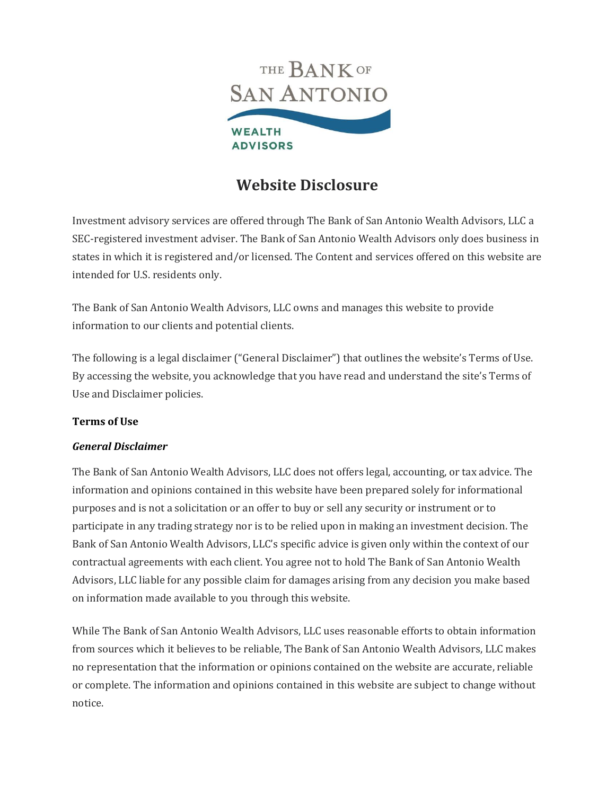

# **Website Disclosure**

Investment advisory services are offered through The Bank of San Antonio Wealth Advisors, LLC a SEC-registered investment adviser. The Bank of San Antonio Wealth Advisors only does business in states in which it is registered and/or licensed. The Content and services offered on this website are intended for U.S. residents only.

The Bank of San Antonio Wealth Advisors, LLC owns and manages this website to provide information to our clients and potential clients.

The following is a legal disclaimer ("General Disclaimer") that outlines the website's Terms of Use. By accessing the website, you acknowledge that you have read and understand the site's Terms of Use and Disclaimer policies.

## **Terms of Use**

### *General Disclaimer*

The Bank of San Antonio Wealth Advisors, LLC does not offers legal, accounting, or tax advice. The information and opinions contained in this website have been prepared solely for informational purposes and is not a solicitation or an offer to buy or sell any security or instrument or to participate in any trading strategy nor is to be relied upon in making an investment decision. The Bank of San Antonio Wealth Advisors, LLC's specific advice is given only within the context of our contractual agreements with each client. You agree not to hold The Bank of San Antonio Wealth Advisors, LLC liable for any possible claim for damages arising from any decision you make based on information made available to you through this website.

While The Bank of San Antonio Wealth Advisors, LLC uses reasonable efforts to obtain information from sources which it believes to be reliable, The Bank of San Antonio Wealth Advisors, LLC makes no representation that the information or opinions contained on the website are accurate, reliable or complete. The information and opinions contained in this website are subject to change without notice.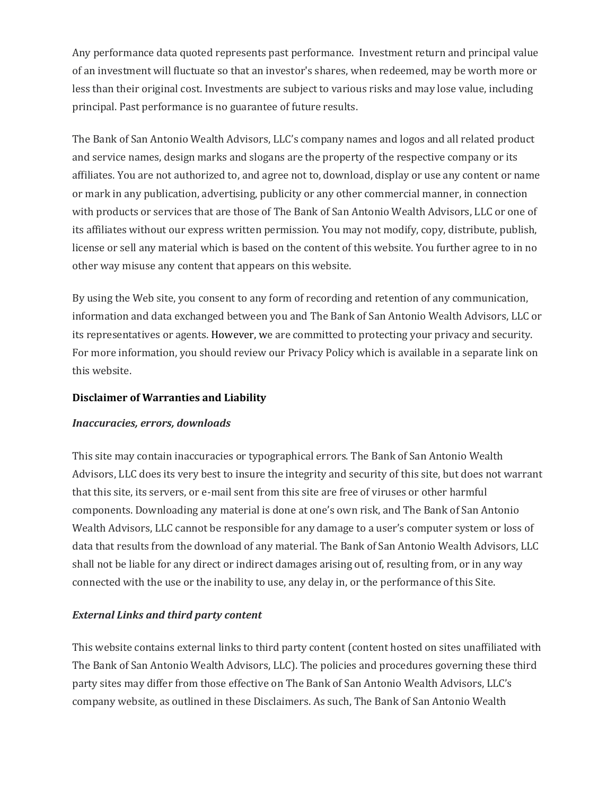Any performance data quoted represents past performance. Investment return and principal value of an investment will fluctuate so that an investor's shares, when redeemed, may be worth more or less than their original cost. Investments are subject to various risks and may lose value, including principal. Past performance is no guarantee of future results.

The Bank of San Antonio Wealth Advisors, LLC's company names and logos and all related product and service names, design marks and slogans are the property of the respective company or its affiliates. You are not authorized to, and agree not to, download, display or use any content or name or mark in any publication, advertising, publicity or any other commercial manner, in connection with products or services that are those of The Bank of San Antonio Wealth Advisors, LLC or one of its affiliates without our express written permission. You may not modify, copy, distribute, publish, license or sell any material which is based on the content of this website. You further agree to in no other way misuse any content that appears on this website.

By using the Web site, you consent to any form of recording and retention of any communication, information and data exchanged between you and The Bank of San Antonio Wealth Advisors, LLC or its representatives or agents. However, we are committed to protecting your privacy and security. For more information, you should review our Privacy Policy which is available in a separate link on this website.

#### **Disclaimer of Warranties and Liability**

#### *Inaccuracies, errors, downloads*

This site may contain inaccuracies or typographical errors. The Bank of San Antonio Wealth Advisors, LLC does its very best to insure the integrity and security of this site, but does not warrant that this site, its servers, or e-mail sent from this site are free of viruses or other harmful components. Downloading any material is done at one's own risk, and The Bank of San Antonio Wealth Advisors, LLC cannot be responsible for any damage to a user's computer system or loss of data that results from the download of any material. The Bank of San Antonio Wealth Advisors, LLC shall not be liable for any direct or indirect damages arising out of, resulting from, or in any way connected with the use or the inability to use, any delay in, or the performance of this Site.

### *External Links and third party content*

This website contains external links to third party content (content hosted on sites unaffiliated with The Bank of San Antonio Wealth Advisors, LLC). The policies and procedures governing these third party sites may differ from those effective on The Bank of San Antonio Wealth Advisors, LLC's company website, as outlined in these Disclaimers. As such, The Bank of San Antonio Wealth